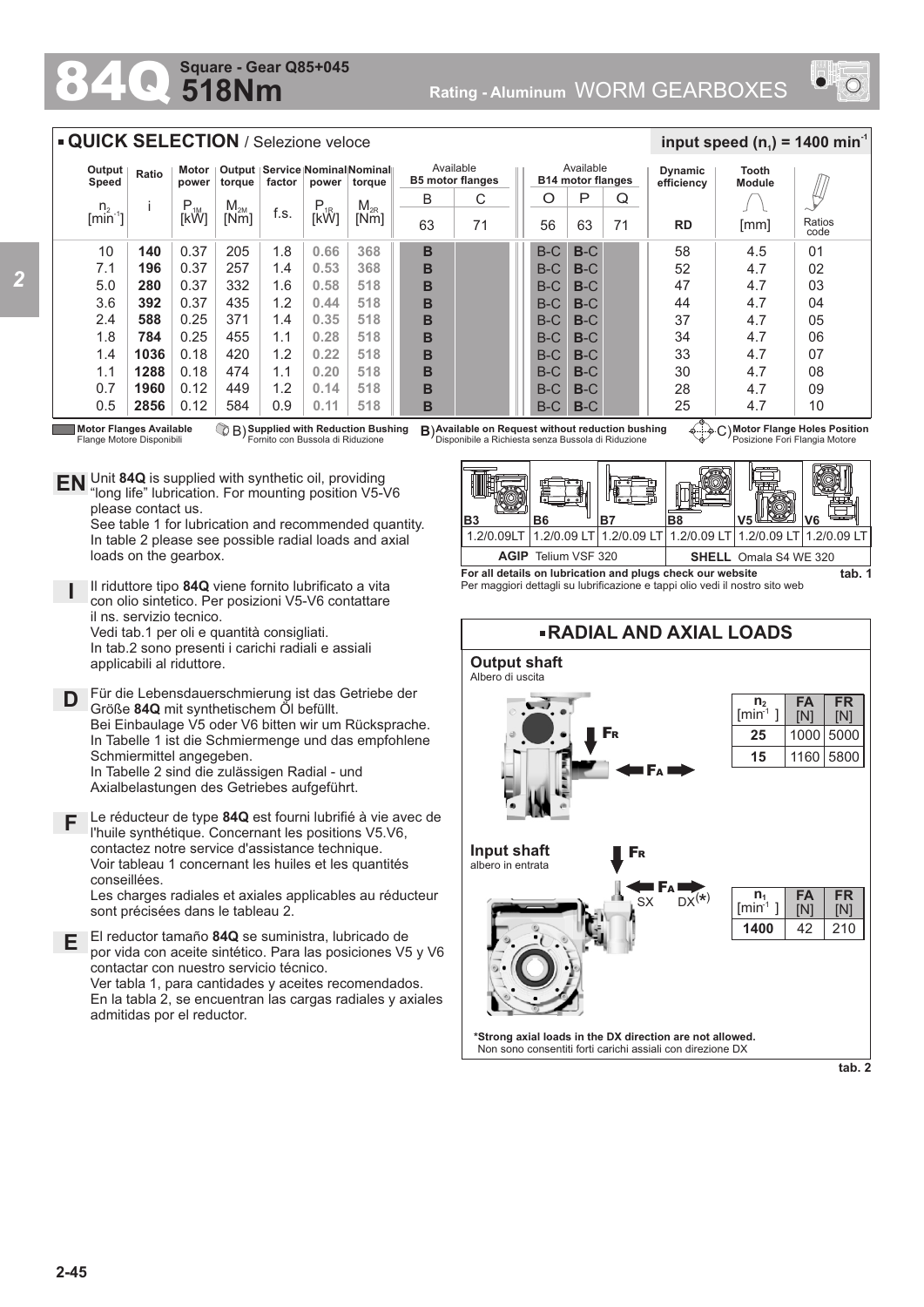## **518Nm Square - Gear Q85+045**



## **QUICK SELECTION** / Selezione veloce

| Output<br>Speed                                                                                                                                                                                                                                                                                                                                                                                                                                                                                                                                                                                                                                                                       | Ratio | Motor<br>power | torque   | factor | power    | Output   Service   Nominal Nominal   <br>torque | <b>B5 motor flanges</b> | Available |       | Available<br><b>B14 motor flanges</b> |    | <b>Dynamic</b><br>efficiency | Tooth<br><b>Module</b> |                |
|---------------------------------------------------------------------------------------------------------------------------------------------------------------------------------------------------------------------------------------------------------------------------------------------------------------------------------------------------------------------------------------------------------------------------------------------------------------------------------------------------------------------------------------------------------------------------------------------------------------------------------------------------------------------------------------|-------|----------------|----------|--------|----------|-------------------------------------------------|-------------------------|-----------|-------|---------------------------------------|----|------------------------------|------------------------|----------------|
| n <sub>2</sub>                                                                                                                                                                                                                                                                                                                                                                                                                                                                                                                                                                                                                                                                        |       | $P_{1M}$       | $M_{2M}$ |        | $P_{1R}$ | $M_{2R}$                                        | B                       | C         | O     | P                                     | Q  |                              |                        |                |
| $\left[\right.\right.\right.\left.\right.\left.\left.\right\vert\left.\right.\left.\left.\right\vert\right.\left.\left.\right\vert\right.\left.\left.\right\vert\left.\left.\right\vert\right.\left.\left.\right\vert\right.\left.\left.\right\vert\right.\left.\left.\right\vert\right.\left.\left.\right\vert\right.\left.\left.\right\vert\right.\left.\left.\right\vert\right.\left.\left.\right\vert\right.\left.\left.\right\vert\right.\left.\left.\right\vert\right.\left.\left.\right\vert\right.\left.\left.\right\vert\right.\left.\left.\right\vert\right.\left.\left.\right\vert\right.\left.\right\vert\right.\left\vert\right.\left.\right\vert\right.\left\vert\left$ |       | [kW]           | [Nm]     | f.s.   | [kŴ]     | [Nm]                                            | 63                      | 71        | 56    | 63                                    | 71 | <b>RD</b>                    | [mm]                   | Ratios<br>code |
| 10                                                                                                                                                                                                                                                                                                                                                                                                                                                                                                                                                                                                                                                                                    | 140   | 0.37           | 205      | 1.8    | 0.66     | 368                                             | B                       |           | $B-C$ | $B-C$                                 |    | 58                           | 4.5                    | 01             |
| 7.1                                                                                                                                                                                                                                                                                                                                                                                                                                                                                                                                                                                                                                                                                   | 196   | 0.37           | 257      | 1.4    | 0.53     | 368                                             | B                       |           | $B-C$ | $B-C$                                 |    | 52                           | 4.7                    | 02             |
| 5.0                                                                                                                                                                                                                                                                                                                                                                                                                                                                                                                                                                                                                                                                                   | 280   | 0.37           | 332      | 1.6    | 0.58     | 518                                             | B                       |           | $B-C$ | $B-C$                                 |    | 47                           | 4.7                    | 03             |
| 3.6                                                                                                                                                                                                                                                                                                                                                                                                                                                                                                                                                                                                                                                                                   | 392   | 0.37           | 435      | 1.2    | 0.44     | 518                                             | B                       |           | $B-C$ | $B-C$                                 |    | 44                           | 4.7                    | 04             |
| 2.4                                                                                                                                                                                                                                                                                                                                                                                                                                                                                                                                                                                                                                                                                   | 588   | 0.25           | 371      | 1.4    | 0.35     | 518                                             | B                       |           | $B-C$ | $B-C$                                 |    | 37                           | 4.7                    | 05             |
| 1.8                                                                                                                                                                                                                                                                                                                                                                                                                                                                                                                                                                                                                                                                                   | 784   | 0.25           | 455      | 1.1    | 0.28     | 518                                             | B                       |           | $B-C$ | $B-C$                                 |    | 34                           | 4.7                    | 06             |
| 1.4                                                                                                                                                                                                                                                                                                                                                                                                                                                                                                                                                                                                                                                                                   | 1036  | 0.18           | 420      | 1.2    | 0.22     | 518                                             | B                       |           | $B-C$ | $B-C$                                 |    | 33                           | 4.7                    | 07             |
| 1.1                                                                                                                                                                                                                                                                                                                                                                                                                                                                                                                                                                                                                                                                                   | 1288  | 0.18           | 474      | 1.1    | 0.20     | 518                                             | B                       |           | $B-C$ | $B-C$                                 |    | 30                           | 4.7                    | 08             |
| 0.7                                                                                                                                                                                                                                                                                                                                                                                                                                                                                                                                                                                                                                                                                   | 1960  | 0.12           | 449      | 1.2    | 0.14     | 518                                             | B                       |           | $B-C$ | $B-C$                                 |    | 28                           | 4.7                    | 09             |
| 0.5                                                                                                                                                                                                                                                                                                                                                                                                                                                                                                                                                                                                                                                                                   | 2856  | 0.12           | 584      | 0.9    | 0.11     | 518                                             | B                       |           | $B-C$ | $B-C$                                 |    | 25                           | 4.7                    | 10             |

**Motor Flanges Available** Flange Motore Disponibili

**D**

**F**

conseillées.

**I**

**E**

please contact us.

loads on the gearbox.

il ns. servizio tecnico.

applicabili al riduttore.

Schmiermittel angegeben.

**Supplied with Reduction Bushing** Fornito con Bussola di Riduzione

Unit **84Q** is supplied with synthetic oil, providing **EN** Unit 84Q is supplied with synthetic oil, providing<br>"long life" lubrication. For mounting position V5-V6

Il riduttore tipo **84Q** viene fornito lubrificato a vita con olio sintetico. Per posizioni V5-V6 contattare

Für die Lebensdauerschmierung ist das Getriebe der

Bei Einbaulage V5 oder V6 bitten wir um Rücksprache. In Tabelle 1 ist die Schmiermenge und das empfohlene

Vedi tab.1 per oli e quantità consigliati. In tab.2 sono presenti i carichi radiali e assiali

Größe **84Q** mit synthetischem Öl befüllt.

In Tabelle 2 sind die zulässigen Radial - und Axialbelastungen des Getriebes aufgeführt.

El reductor tamaño **84Q** se suministra, lubricado de

l'huile synthétique. Concernant les positions V5.V6, contactez notre service d'assistance technique. Voir tableau 1 concernant les huiles et les quantités

Ver tabla 1, para cantidades y aceites recomendados.

contactar con nuestro servicio técnico.

sont précisées dans le tableau 2.

See table 1 for lubrication and recommended quantity. In table 2 please see possible radial loads and axial

B) **B**) C) **Available on Request without reduction bushing** Disponibile a Richiesta senza Bussola di Riduzione

**Motor Flange Holes Position** Posizione Fori Flangia Motore

 $\frac{1}{2}$  **input speed (n**<sub>1</sub>) = 1400 min<sup>-1</sup>



**For all details on lubrication and plugs check our website**  Per maggiori dettagli su lubrificazione e tappi olio vedi il nostro sito web



admitidas por el reductor.